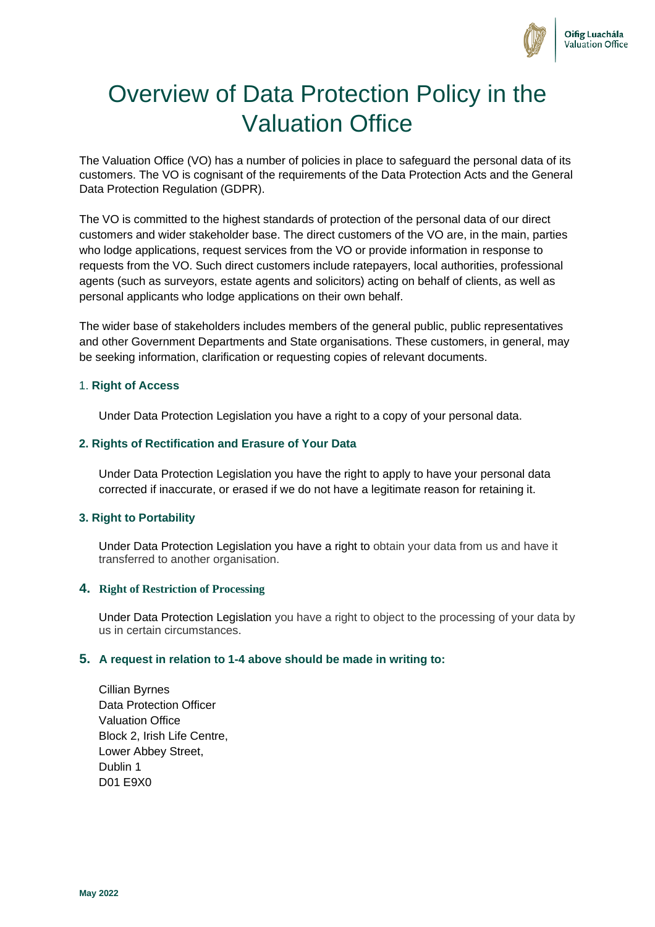

# Overview of Data Protection Policy in the Valuation Office

The Valuation Office (VO) has a number of policies in place to safeguard the personal data of its customers. The VO is cognisant of the requirements of the Data Protection Acts and the General Data Protection Regulation (GDPR).

The VO is committed to the highest standards of protection of the personal data of our direct customers and wider stakeholder base. The direct customers of the VO are, in the main, parties who lodge applications, request services from the VO or provide information in response to requests from the VO. Such direct customers include ratepayers, local authorities, professional agents (such as surveyors, estate agents and solicitors) acting on behalf of clients, as well as personal applicants who lodge applications on their own behalf.

The wider base of stakeholders includes members of the general public, public representatives and other Government Departments and State organisations. These customers, in general, may be seeking information, clarification or requesting copies of relevant documents.

## 1. **Right of Access**

Under Data Protection Legislation you have a right to a copy of your personal data.

## **2. Rights of Rectification and Erasure of Your Data**

Under Data Protection Legislation you have the right to apply to have your personal data corrected if inaccurate, or erased if we do not have a legitimate reason for retaining it.

# **3. Right to Portability**

Under Data Protection Legislation you have a right to obtain your data from us and have it transferred to another organisation.

#### **4. Right of Restriction of Processing**

Under Data Protection Legislation you have a right to object to the processing of your data by us in certain circumstances.

## **5. A request in relation to 1-4 above should be made in writing to:**

Cillian Byrnes Data Protection Officer Valuation Office Block 2, Irish Life Centre, Lower Abbey Street, Dublin 1 D01 E9X0